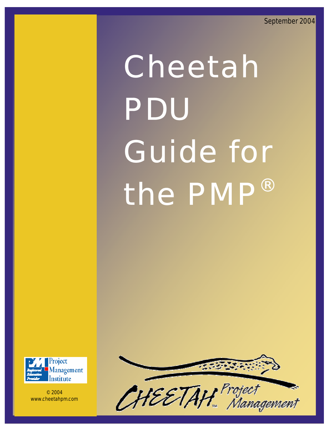# Cheetah PDU Guide for the PMP®



© 2004 www.cheetahpm.com

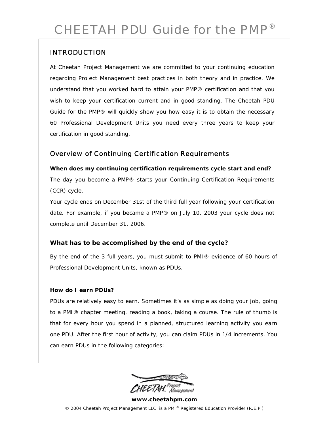# INTRODUCTION

At Cheetah Project Management we are committed to your continuing education regarding Project Management best practices in both theory and in practice. We understand that you worked hard to attain your PMP® certification and that you wish to keep your certification current and in good standing. The Cheetah PDU Guide for the PMP® will quickly show you how easy it is to obtain the necessary 60 Professional Development Units you need every three years to keep your certification in good standing.

# Overview of Continuing Certification Requirements

**When does my continuing certification requirements cycle start and end?**  The day you become a PMP® starts your Continuing Certification Requirements (CCR) cycle.

Your cycle ends on December 31st of the third full year following your certification date. For example, if you became a PMP® on July 10, 2003 your cycle does not complete until December 31, 2006.

## **What has to be accomplished by the end of the cycle?**

By the end of the 3 full years, you must submit to PMI® evidence of 60 hours of Professional Development Units, known as PDUs.

## **How do I earn PDUs?**

PDUs are relatively easy to earn. Sometimes it's as simple as doing your job, going to a PMI® chapter meeting, reading a book, taking a course. The rule of thumb is that for every hour you spend in a planned, structured learning activity you earn one PDU. After the first hour of activity, you can claim PDUs in 1/4 increments. You can earn PDUs in the following categories:

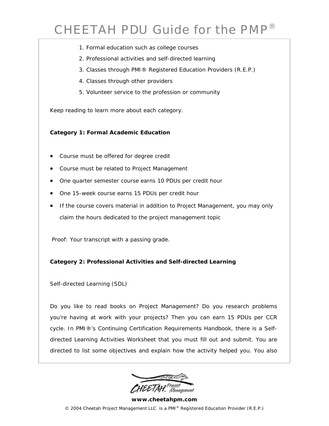- 1. Formal education such as college courses
- 2. Professional activities and self-directed learning
- 3. Classes through PMI® Registered Education Providers (R.E.P.)
- 4. Classes through other providers
- 5. Volunteer service to the profession or community

Keep reading to learn more about each category.

#### **Category 1: Formal Academic Education**

- Course must be offered for degree credit
- Course must be related to Project Management
- One quarter semester course earns 10 PDUs per credit hour
- One 15-week course earns 15 PDUs per credit hour
- If the course covers material in addition to Project Management, you may only claim the hours dedicated to the project management topic

 *Proof: Your transcript with a passing grade.* 

#### **Category 2: Professional Activities and Self-directed Learning**

*Self-directed Learning (SDL)* 

Do you like to read books on Project Management? Do you research problems you're having at work with your projects? Then you can earn 15 PDUs per CCR cycle. In PMI®'s Continuing Certification Requirements Handbook, there is a Selfdirected Learning Activities Worksheet that you must fill out and submit. You are directed to list some objectives and explain how the activity helped you. You also

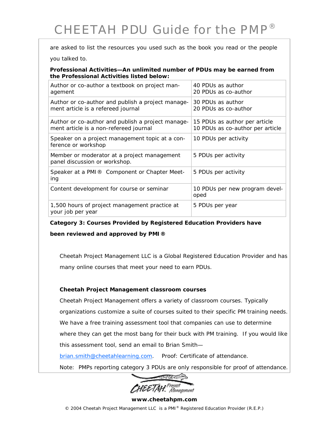are asked to list the resources you used such as the book you read or the people

you talked to.

*Professional Activities—An unlimited number of PDUs may be earned from the Professional Activities listed below:* 

| Author or co-author a textbook on project man-<br>agement                                   | 40 PDUs as author<br>20 PDUs as co-author                         |
|---------------------------------------------------------------------------------------------|-------------------------------------------------------------------|
| Author or co-author and publish a project manage-<br>ment article is a refereed journal     | 30 PDUs as author<br>20 PDUs as co-author                         |
| Author or co-author and publish a project manage-<br>ment article is a non-refereed journal | 15 PDUs as author per article<br>10 PDUs as co-author per article |
| Speaker on a project management topic at a con-<br>ference or workshop                      | 10 PDUs per activity                                              |
| Member or moderator at a project management<br>panel discussion or workshop.                | 5 PDUs per activity                                               |
| Speaker at a PMI® Component or Chapter Meet-<br>ing                                         | 5 PDUs per activity                                               |
| Content development for course or seminar                                                   | 10 PDUs per new program devel-<br>oped                            |
| 1,500 hours of project management practice at<br>your job per year                          | 5 PDUs per year                                                   |

**Category 3: Courses Provided by Registered Education Providers have** 

**been reviewed and approved by PMI®** 

Cheetah Project Management LLC is a Global Registered Education Provider and has many online courses that meet your need to earn PDUs.

#### **Cheetah Project Management classroom courses**

Cheetah Project Management offers a variety of classroom courses. Typically organizations customize a suite of courses suited to their specific PM training needs. We have a free training assessment tool that companies can use to determine where they can get the most bang for their buck with PM training. If you would like this assessment tool, send an email to Brian Smith—

brian.smith@cheetahlearning.com. *Proof: Certificate of attendance.* 

*Note: PMPs reporting category 3 PDUs are only responsible for proof of attendance.*



## **www.cheetahpm.com**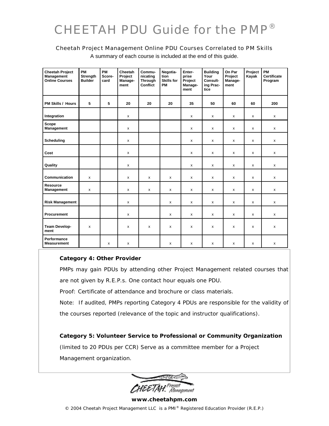#### Cheetah Project Management Online PDU Courses Correlated to PM Skills

| <b>Cheetah Project</b><br><b>Management</b><br><b>Online Courses</b> | <b>PM</b><br>Strength<br><b>Builder</b> | <b>PM</b><br>Score-<br>card | Cheetah<br>Project<br>Manage-<br>ment | Commu-<br>nicating<br>Through<br>Conflict | Negotia-<br>tion<br><b>Skills for</b><br>PM | Enter-<br>prise<br>Project<br>Manage-<br>ment | <b>Building</b><br>Your<br>Consult-<br>ing Prac-<br>tice | On Par<br>Project<br>Manage-<br>ment | Project<br>Kayak | PM<br>Certificate<br>Program |
|----------------------------------------------------------------------|-----------------------------------------|-----------------------------|---------------------------------------|-------------------------------------------|---------------------------------------------|-----------------------------------------------|----------------------------------------------------------|--------------------------------------|------------------|------------------------------|
| <b>PM Skills / Hours</b>                                             | 5                                       | 5                           | 20                                    | 20                                        | 20                                          | 35                                            | 50                                                       | 60                                   | 60               | 200                          |
| Integration                                                          |                                         |                             | x                                     |                                           |                                             | x                                             | x                                                        | x                                    | x                | х                            |
| <b>Scope</b><br><b>Management</b>                                    |                                         |                             | X                                     |                                           |                                             | X                                             | $\mathsf{x}$                                             | $\mathsf{x}$                         | X                | X                            |
| <b>Scheduling</b>                                                    |                                         |                             | X                                     |                                           |                                             | $\pmb{\mathsf{x}}$                            | x                                                        | x                                    | x                | x                            |
| Cost                                                                 |                                         |                             | $\mathsf{x}$                          |                                           |                                             | X                                             | $\mathsf{x}$                                             | $\mathsf{x}$                         | X                | X                            |
| Quality                                                              |                                         |                             | x                                     |                                           |                                             | x                                             | x                                                        | x                                    | x                | x                            |
| Communication                                                        | $\mathsf{x}$                            |                             | X                                     | $\mathsf{x}$                              | $\mathsf{x}$                                | X                                             | $\mathsf{x}$                                             | $\mathsf{x}$                         | X                | X                            |
| Resource<br>Management                                               | $\pmb{\mathsf{x}}$                      |                             | x                                     | $\pmb{\mathsf{X}}$                        | X                                           | x                                             | $\pmb{\mathsf{X}}$                                       | x                                    | X                | X                            |
| <b>Risk Management</b>                                               |                                         |                             | X                                     |                                           | X                                           | X                                             | $\pmb{\times}$                                           | X                                    | X                | X                            |
| Procurement                                                          |                                         |                             | x                                     |                                           | x                                           | x                                             | $\pmb{\mathsf{X}}$                                       | x                                    | x                | X                            |
| <b>Team Develop-</b><br>ment                                         | x                                       |                             | x                                     | X                                         | x                                           | x                                             | X                                                        | x                                    | x                | x                            |
| Performance<br><b>Measurement</b>                                    |                                         | x                           | x                                     |                                           | x                                           | x                                             | x                                                        | x                                    | x                | x                            |

A summary of each course is included at the end of this guide.

#### **Category 4: Other Provider**

PMPs may gain PDUs by attending other Project Management related courses that are not given by R.E.P.s. One contact hour equals one PDU.

*Proof: Certificate of attendance and brochure or class materials.* 

*Note:* If audited, PMPs reporting Category 4 PDUs are responsible for the validity of the courses reported (relevance of the topic and instructor qualifications).

**Category 5: Volunteer Service to Professional or Community Organization**  *(limited to 20 PDUs per CCR)* Serve as a committee member for a Project Management organization.

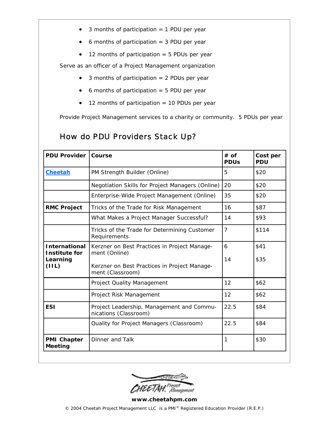- $\bullet$  3 months of participation = 1 PDU per year
- 6 months of participation = 3 PDU per year
- 12 months of participation = 5 PDUs per year

Serve as an officer of a Project Management organization

- 3 months of participation = 2 PDUs per year
- $\bullet$  6 months of participation = 5 PDU per year
- 12 months of participation = 10 PDUs per year

Provide Project Management services to a charity or community. 5 PDUs per year

# How do PDU Providers Stack Up?

| <b>PDU Provider</b>                                                                                    | Course                                                             | $#$ of<br><b>PDUs</b> | Cost per<br><b>PDU</b> |
|--------------------------------------------------------------------------------------------------------|--------------------------------------------------------------------|-----------------------|------------------------|
| <b>Cheetah</b>                                                                                         | PM Strength Builder (Online)                                       | 5                     | \$20                   |
|                                                                                                        | Negotiation Skills for Project Managers (Online)                   | 20                    | \$20                   |
|                                                                                                        | Enterprise-Wide Project Management (Online)                        | 35                    | \$20                   |
| <b>RMC Project</b>                                                                                     | Tricks of the Trade for Risk Management                            | 16                    | \$87                   |
|                                                                                                        | What Makes a Project Manager Successful?                           | 14                    | \$93                   |
|                                                                                                        | Tricks of the Trade for Determining Customer<br>Requirements       | $\overline{7}$        | \$114                  |
| <b>International</b><br>Kerzner on Best Practices in Project Manage-<br>ment (Online)<br>Institute for |                                                                    | 6<br>14               | \$41<br>\$35           |
| Learning<br>(III)                                                                                      | Kerzner on Best Practices in Project Manage-<br>ment (Classroom)   |                       |                        |
|                                                                                                        | Project Quality Management                                         | 12                    | \$62                   |
|                                                                                                        | Project Risk Management                                            | 12                    | \$62                   |
| <b>ESI</b>                                                                                             | Project Leadership, Management and Commu-<br>nications (Classroom) |                       | \$84                   |
|                                                                                                        | Quality for Project Managers (Classroom)                           | 22.5                  | \$84                   |
| <b>PMI Chapter</b><br><b>Meeting</b>                                                                   | Dinner and Talk                                                    | 1                     | \$30                   |

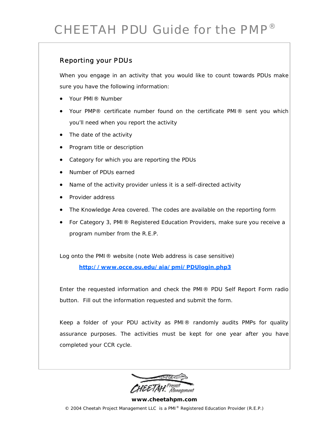# Reporting your PDUs

When you engage in an activity that you would like to count towards PDUs make sure you have the following information:

- Your PMI® Number
- Your PMP® certificate number found on the certificate PMI® sent you which you'll need when you report the activity
- The date of the activity
- Program title or description
- Category for which you are reporting the PDUs
- Number of PDUs earned
- Name of the activity provider unless it is a self-directed activity
- Provider address
- The Knowledge Area covered. The codes are available on the reporting form
- For Category 3, PMI® Registered Education Providers, make sure you receive a program number from the R.E.P.

Log onto the PMI® website (note Web address is case sensitive)

**http://www.occe.ou.edu/aia/pmi/PDUlogin.php3**

Enter the requested information and check the PMI® PDU Self Report Form radio button. Fill out the information requested and submit the form.

Keep a folder of your PDU activity as PMI® randomly audits PMPs for quality assurance purposes. The activities must be kept for one year after you have completed your CCR cycle.

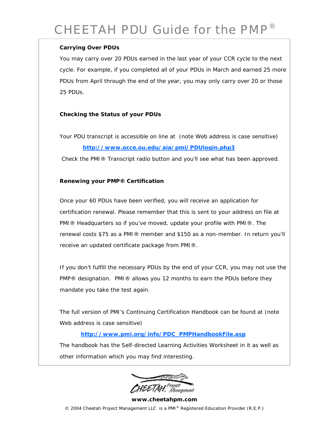## **Carrying Over PDUs**

You may carry over 20 PDUs earned in the last year of your CCR cycle to the next cycle. For example, if you completed all of your PDUs in March and earned 25 more PDUs from April through the end of the year, you may only carry over 20 or those 25 PDUs.

## **Checking the Status of your PDUs**

Your PDU transcript is accessible on line at (note Web address is case sensitive)

## **http://www.occe.ou.edu/aia/pmi/PDUlogin.php3**

Check the PMI® Transcript radio button and you'll see what has been approved.

#### **Renewing your PMP® Certification**

Once your 60 PDUs have been verified, you will receive an application for certification renewal. Please remember that this is sent to your address on file at PMI® Headquarters so if you've moved, update your profile with PMI®. The renewal costs \$75 as a PMI® member and \$150 as a non-member. In return you'll receive an updated certificate package from PMI®.

If you don't fulfill the necessary PDUs by the end of your CCR, you may not use the PMP® designation. PMI® allows you 12 months to earn the PDUs before they mandate you take the test again.

The full version of PMI's Continuing Certification Handbook can be found at (note Web address is case sensitive)

## **http://www.pmi.org/info/PDC\_PMPHandbookFile.asp**

The handbook has the Self-directed Learning Activities Worksheet in it as well as other information which you may find interesting.

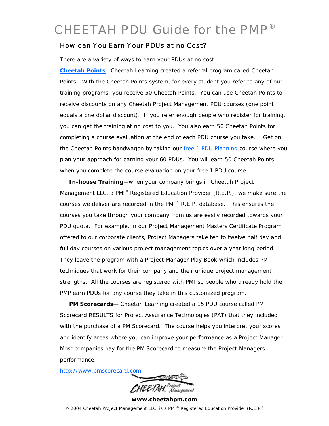# How can You Earn Your PDUs at no Cost?

There are a variety of ways to earn your PDUs at no cost:

**Cheetah Points**—Cheetah Learning created a referral program called Cheetah Points. With the Cheetah Points system, for every student you refer to any of our training programs, you receive 50 Cheetah Points. You can use Cheetah Points to receive discounts on any Cheetah Project Management PDU courses (one point equals a one dollar discount). If you refer enough people who register for training, you can get the training at no cost to you. You also earn 50 Cheetah Points for completing a course evaluation at the end of each PDU course you take. Get on the Cheetah Points bandwagon by taking our free 1 PDU Planning course where you plan your approach for earning your 60 PDUs. You will earn 50 Cheetah Points when you complete the course evaluation on your free 1 PDU course.

 **In-house Training**—when your company brings in Cheetah Project Management LLC, a PMI<sup>®</sup> Registered Education Provider  $(R.E.P.)$ , we make sure the courses we deliver are recorded in the PMI® R.E.P. database. This ensures the courses you take through your company from us are easily recorded towards your PDU quota. For example, in our *Project Management Masters Certificate Program*  offered to our corporate clients, Project Managers take ten to twelve half day and full day courses on various project management topics over a year long period. They leave the program with a Project Manager Play Book which includes PM techniques that work for their company and their unique project management strengths. All the courses are registered with PMI so people who already hold the PMP earn PDUs for any course they take in this customized program.

 **PM Scorecards**— Cheetah Learning created a 15 PDU course called PM Scorecard RESULTS for Project Assurance Technologies (PAT) that they included with the purchase of a PM Scorecard. The course helps you interpret your scores and identify areas where you can improve your performance as a Project Manager. Most companies pay for the PM Scorecard to measure the Project Managers performance.

http://www.pmscorecard.com

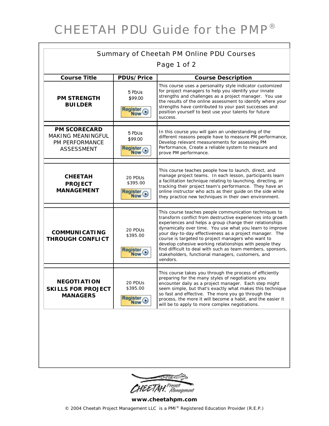| <b>Summary of Cheetah PM Online PDU Courses</b>                                        |                                                          |                                                                                                                                                                                                                                                                                                                                                                                                                                                                                                                                                           |  |  |
|----------------------------------------------------------------------------------------|----------------------------------------------------------|-----------------------------------------------------------------------------------------------------------------------------------------------------------------------------------------------------------------------------------------------------------------------------------------------------------------------------------------------------------------------------------------------------------------------------------------------------------------------------------------------------------------------------------------------------------|--|--|
| Page 1 of 2                                                                            |                                                          |                                                                                                                                                                                                                                                                                                                                                                                                                                                                                                                                                           |  |  |
| <b>Course Title</b>                                                                    | <b>PDUs/Price</b>                                        | <b>Course Description</b>                                                                                                                                                                                                                                                                                                                                                                                                                                                                                                                                 |  |  |
| <b>PM STRENGTH</b><br><b>BUILDER</b>                                                   | 5 PDUs<br>\$99.00<br>Register C                          | This course uses a personality style indicator customized<br>for project managers to help you identify your innate<br>strengths and challenges as a project manager. You use<br>the results of the online assessment to identify where your<br>strengths have contributed to your past successes and<br>position yourself to best use your talents for future<br>success.                                                                                                                                                                                 |  |  |
| <b>PM SCORECARD</b><br><b>MAKING MEANINGFUL</b><br>PM PERFORMANCE<br><b>ASSESSMENT</b> | 5 PDUs<br>\$99.00<br>Register C                          | In this course you will gain an understanding of the<br>different reasons people have to measure PM performance,<br>Develop relevant measurements for assessing PM<br>Performance, Create a reliable system to measure and<br>prove PM performance.                                                                                                                                                                                                                                                                                                       |  |  |
| <b>CHEETAH</b><br><b>PROJECT</b><br><b>MANAGEMENT</b>                                  | 20 PDU <sub>S</sub><br>\$395.00<br>Register <sub>O</sub> | This course teaches people how to launch, direct, and<br>manage project teams. In each lesson, participants learn<br>a facilitation technique relating to launching, directing, or<br>tracking their project team's performance. They have an<br>online instructor who acts as their guide on the side while<br>they practice new techniques in their own environment.                                                                                                                                                                                    |  |  |
| <b>COMMUNICATING</b><br><b>THROUGH CONFLICT</b>                                        | 20 PDU <sub>S</sub><br>\$395.00<br>Register <sub>C</sub> | This course teaches people communication techniques to<br>transform conflict from destructive experiences into growth<br>experiences and helps a group change their relationships<br>dynamically over time. You use what you learn to improve<br>your day-to-day effectiveness as a project manager. The<br>course is targeted to project managers who want to<br>develop cohesive working relationships with people they<br>find difficult to deal with such as team members, sponsors,<br>stakeholders, functional managers, customers, and<br>vendors. |  |  |
| <b>NEGOTI ATION</b><br><b>SKILLS FOR PROJECT</b><br><b>MANAGERS</b>                    | 20 PDU <sub>S</sub><br>\$395.00<br>Register <sup>O</sup> | This course takes you through the process of efficiently<br>preparing for the many styles of negotiations you<br>encounter daily as a project manager. Each step might<br>seem simple, but that's exactly what makes this technique<br>so fast and effective. The more you go through the<br>process, the more it will become a habit, and the easier it<br>will be to apply to more complex negotiations.                                                                                                                                                |  |  |
|                                                                                        |                                                          |                                                                                                                                                                                                                                                                                                                                                                                                                                                                                                                                                           |  |  |



**www.cheetahpm.com**